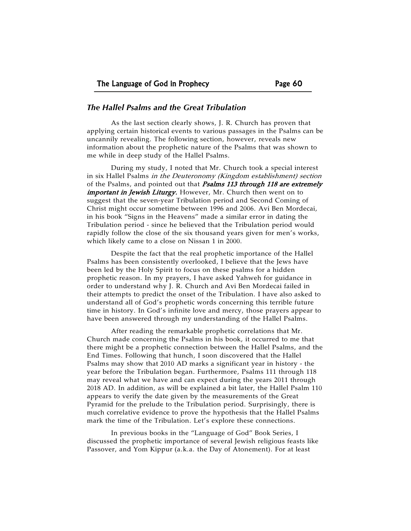## *The Hallel Psalms and the Great Tribulation*

As the last section clearly shows, J. R. Church has proven that applying certain historical events to various passages in the Psalms can be uncannily revealing. The following section, however, reveals new information about the prophetic nature of the Psalms that was shown to me while in deep study of the Hallel Psalms.

During my study, I noted that Mr. Church took a special interest in six Hallel Psalms in the Deuteronomy (Kingdom establishment) section of the Psalms, and pointed out that *Psalms 113 through 118 are extremely* important in Jewish Liturgy. However, Mr. Church then went on to suggest that the seven-year Tribulation period and Second Coming of Christ might occur sometime between 1996 and 2006. Avi Ben Mordecai, in his book "Signs in the Heavens" made a similar error in dating the Tribulation period - since he believed that the Tribulation period would rapidly follow the close of the six thousand years given for men's works, which likely came to a close on Nissan 1 in 2000.

Despite the fact that the real prophetic importance of the Hallel Psalms has been consistently overlooked, I believe that the Jews have been led by the Holy Spirit to focus on these psalms for a hidden prophetic reason. In my prayers, I have asked Yahweh for guidance in order to understand why J. R. Church and Avi Ben Mordecai failed in their attempts to predict the onset of the Tribulation. I have also asked to understand all of God's prophetic words concerning this terrible future time in history. In God's infinite love and mercy, those prayers appear to have been answered through my understanding of the Hallel Psalms.

After reading the remarkable prophetic correlations that Mr. Church made concerning the Psalms in his book, it occurred to me that there might be a prophetic connection between the Hallel Psalms, and the End Times. Following that hunch, I soon discovered that the Hallel Psalms may show that 2010 AD marks a significant year in history - the year before the Tribulation began. Furthermore, Psalms 111 through 118 may reveal what we have and can expect during the years 2011 through 2018 AD. In addition, as will be explained a bit later, the Hallel Psalm 110 appears to verify the date given by the measurements of the Great Pyramid for the prelude to the Tribulation period. Surprisingly, there is much correlative evidence to prove the hypothesis that the Hallel Psalms mark the time of the Tribulation. Let's explore these connections.

In previous books in the "Language of God" Book Series, I discussed the prophetic importance of several Jewish religious feasts like Passover, and Yom Kippur (a.k.a. the Day of Atonement). For at least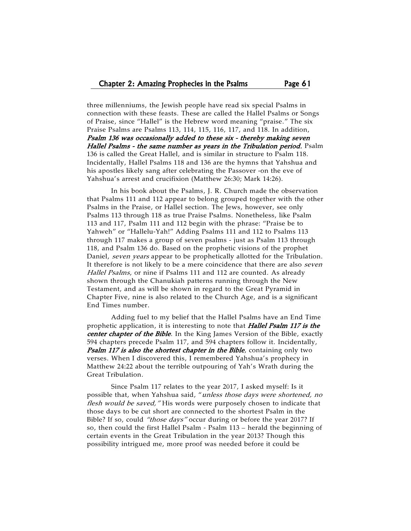three millenniums, the Jewish people have read six special Psalms in connection with these feasts. These are called the Hallel Psalms or Songs of Praise, since "Hallel" is the Hebrew word meaning "praise." The six Praise Psalms are Psalms 113, 114, 115, 116, 117, and 118. In addition, Psalm 136 was occasionally added to these six - thereby making seven Hallel Psalms - the same number as years in the Tribulation period. Psalm 136 is called the Great Hallel, and is similar in structure to Psalm 118. Incidentally, Hallel Psalms 118 and 136 are the hymns that Yahshua and his apostles likely sang after celebrating the Passover -on the eve of Yahshua's arrest and crucifixion (Matthew 26:30; Mark 14:26).

In his book about the Psalms, J. R. Church made the observation that Psalms 111 and 112 appear to belong grouped together with the other Psalms in the Praise, or Hallel section. The Jews, however, see only Psalms 113 through 118 as true Praise Psalms. Nonetheless, like Psalm 113 and 117, Psalm 111 and 112 begin with the phrase: "Praise be to Yahweh" or "Hallelu-Yah!" Adding Psalms 111 and 112 to Psalms 113 through 117 makes a group of seven psalms - just as Psalm 113 through 118, and Psalm 136 do. Based on the prophetic visions of the prophet Daniel, seven years appear to be prophetically allotted for the Tribulation. It therefore is not likely to be a mere coincidence that there are also *seven* Hallel Psalms, or nine if Psalms 111 and 112 are counted. As already shown through the Chanukiah patterns running through the New Testament, and as will be shown in regard to the Great Pyramid in Chapter Five, nine is also related to the Church Age, and is a significant End Times number.

Adding fuel to my belief that the Hallel Psalms have an End Time prophetic application, it is interesting to note that Hallel Psalm 117 is the center chapter of the Bible. In the King James Version of the Bible, exactly 594 chapters precede Psalm 117, and 594 chapters follow it. Incidentally, Psalm 117 is also the shortest chapter in the Bible, containing only two verses. When I discovered this, I remembered Yahshua's prophecy in Matthew 24:22 about the terrible outpouring of Yah's Wrath during the Great Tribulation.

Since Psalm 117 relates to the year 2017, I asked myself: Is it possible that, when Yahshua said, "unless those days were shortened, no flesh would be saved," His words were purposely chosen to indicate that those days to be cut short are connected to the shortest Psalm in the Bible? If so, could "those days" occur during or before the year 2017? If so, then could the first Hallel Psalm - Psalm 113 – herald the beginning of certain events in the Great Tribulation in the year 2013? Though this possibility intrigued me, more proof was needed before it could be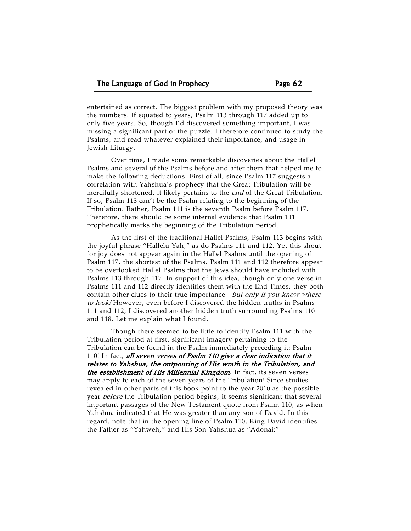entertained as correct. The biggest problem with my proposed theory was the numbers. If equated to years, Psalm 113 through 117 added up to only five years. So, though I'd discovered something important, I was missing a significant part of the puzzle. I therefore continued to study the Psalms, and read whatever explained their importance, and usage in Jewish Liturgy.

Over time, I made some remarkable discoveries about the Hallel Psalms and several of the Psalms before and after them that helped me to make the following deductions. First of all, since Psalm 117 suggests a correlation with Yahshua's prophecy that the Great Tribulation will be mercifully shortened, it likely pertains to the end of the Great Tribulation. If so, Psalm 113 can't be the Psalm relating to the beginning of the Tribulation. Rather, Psalm 111 is the seventh Psalm before Psalm 117. Therefore, there should be some internal evidence that Psalm 111 prophetically marks the beginning of the Tribulation period.

As the first of the traditional Hallel Psalms, Psalm 113 begins with the joyful phrase "Hallelu-Yah," as do Psalms 111 and 112. Yet this shout for joy does not appear again in the Hallel Psalms until the opening of Psalm 117, the shortest of the Psalms. Psalm 111 and 112 therefore appear to be overlooked Hallel Psalms that the Jews should have included with Psalms 113 through 117. In support of this idea, though only one verse in Psalms 111 and 112 directly identifies them with the End Times, they both contain other clues to their true importance - but only if you know where to look! However, even before I discovered the hidden truths in Psalms 111 and 112, I discovered another hidden truth surrounding Psalms 110 and 118. Let me explain what I found.

Though there seemed to be little to identify Psalm 111 with the Tribulation period at first, significant imagery pertaining to the Tribulation can be found in the Psalm immediately preceding it: Psalm 110! In fact, all seven verses of Psalm 110 give a clear indication that it relates to Yahshua, the outpouring of His wrath in the Tribulation, and the establishment of His Millennial Kingdom. In fact, its seven verses may apply to each of the seven years of the Tribulation! Since studies revealed in other parts of this book point to the year 2010 as the possible year *before* the Tribulation period begins, it seems significant that several important passages of the New Testament quote from Psalm 110, as when Yahshua indicated that He was greater than any son of David. In this regard, note that in the opening line of Psalm 110, King David identifies the Father as "Yahweh," and His Son Yahshua as "Adonai:"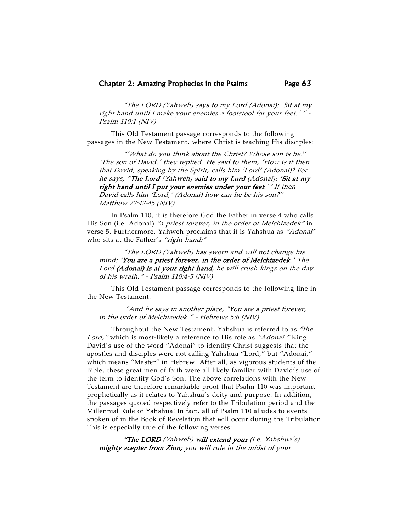"The LORD (Yahweh) says to my Lord (Adonai): 'Sit at my right hand until I make your enemies a footstool for your feet.' " - Psalm 110:1 (NIV)

This Old Testament passage corresponds to the following passages in the New Testament, where Christ is teaching His disciples:

"'What do you think about the Christ? Whose son is he?' 'The son of David,' they replied. He said to them, 'How is it then that David, speaking by the Spirit, calls him 'Lord' (Adonai)? For he says, "The Lord (Yahweh) said to my Lord (Adonai): 'Sit at my right hand until I put your enemies under your feet.'" If then David calls him 'Lord,' (Adonai) how can he be his son?" - Matthew 22:42-45 (NIV)

In Psalm 110, it is therefore God the Father in verse 4 who calls His Son (i.e. Adonai) "a priest forever, in the order of Melchizedek" in verse 5. Furthermore, Yahweh proclaims that it is Yahshua as "Adonai" who sits at the Father's "right hand:"

"The LORD (Yahweh) has sworn and will not change his mind: 'You are a priest forever, in the order of Melchizedek.' The Lord (Adonai) is at your right hand; he will crush kings on the day of his wrath." - Psalm 110:4-5 (NIV)

This Old Testament passage corresponds to the following line in the New Testament:

 "And he says in another place, "You are a priest forever, in the order of Melchizedek." - Hebrews 5:6 (NIV)

Throughout the New Testament, Yahshua is referred to as "the Lord," which is most-likely a reference to His role as "Adonai." King David's use of the word "Adonai" to identify Christ suggests that the apostles and disciples were not calling Yahshua "Lord," but "Adonai," which means "Master" in Hebrew. After all, as vigorous students of the Bible, these great men of faith were all likely familiar with David's use of the term to identify God's Son. The above correlations with the New Testament are therefore remarkable proof that Psalm 110 was important prophetically as it relates to Yahshua's deity and purpose. In addition, the passages quoted respectively refer to the Tribulation period and the Millennial Rule of Yahshua! In fact, all of Psalm 110 alludes to events spoken of in the Book of Revelation that will occur during the Tribulation. This is especially true of the following verses:

"The LORD (Yahweh) will extend your (i.e. Yahshua's) mighty scepter from Zion; you will rule in the midst of your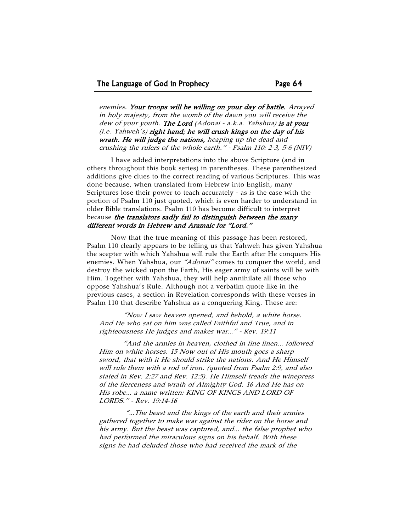enemies. Your troops will be willing on your day of battle. Arrayed in holy majesty, from the womb of the dawn you will receive the dew of your youth. The Lord (Adonai - a.k.a. Yahshua) is at your  $(i.e.$  Yahweh's) right hand; he will crush kings on the day of his wrath. He will judge the nations, heaping up the dead and crushing the rulers of the whole earth." - Psalm 110: 2-3, 5-6 (NIV)

I have added interpretations into the above Scripture (and in others throughout this book series) in parentheses. These parenthesized additions give clues to the correct reading of various Scriptures. This was done because, when translated from Hebrew into English, many Scriptures lose their power to teach accurately - as is the case with the portion of Psalm 110 just quoted, which is even harder to understand in older Bible translations. Psalm 110 has become difficult to interpret because the translators sadly fail to distinguish between the many different words in Hebrew and Aramaic for "Lord."

Now that the true meaning of this passage has been restored, Psalm 110 clearly appears to be telling us that Yahweh has given Yahshua the scepter with which Yahshua will rule the Earth after He conquers His enemies. When Yahshua, our "Adonai" comes to conquer the world, and destroy the wicked upon the Earth, His eager army of saints will be with Him. Together with Yahshua, they will help annihilate all those who oppose Yahshua's Rule. Although not a verbatim quote like in the previous cases, a section in Revelation corresponds with these verses in Psalm 110 that describe Yahshua as a conquering King. These are:

"Now I saw heaven opened, and behold, a white horse. And He who sat on him was called Faithful and True, and in righteousness He judges and makes war…" - Rev. 19:11

"And the armies in heaven, clothed in fine linen… followed Him on white horses. 15 Now out of His mouth goes a sharp sword, that with it He should strike the nations. And He Himself will rule them with a rod of iron. (quoted from Psalm 2:9, and also stated in Rev. 2:27 and Rev. 12:5). He Himself treads the winepress of the fierceness and wrath of Almighty God. 16 And He has on His robe… a name written: KING OF KINGS AND LORD OF LORDS." - Rev. 19:14-16

 "…The beast and the kings of the earth and their armies gathered together to make war against the rider on the horse and his army. But the beast was captured, and… the false prophet who had performed the miraculous signs on his behalf. With these signs he had deluded those who had received the mark of the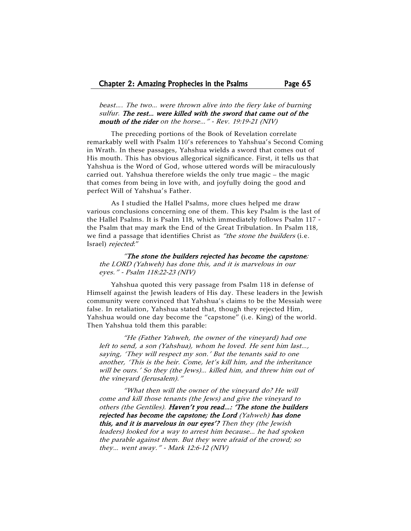beast…. The two… were thrown alive into the fiery lake of burning sulfur. The rest… were killed with the sword that came out of the mouth of the rider on the horse..." - Rev. 19:19-21 (NIV)

The preceding portions of the Book of Revelation correlate remarkably well with Psalm 110's references to Yahshua's Second Coming in Wrath. In these passages, Yahshua wields a sword that comes out of His mouth. This has obvious allegorical significance. First, it tells us that Yahshua is the Word of God, whose uttered words will be miraculously carried out. Yahshua therefore wields the only true magic – the magic that comes from being in love with, and joyfully doing the good and perfect Will of Yahshua's Father.

As I studied the Hallel Psalms, more clues helped me draw various conclusions concerning one of them. This key Psalm is the last of the Hallel Psalms. It is Psalm 118, which immediately follows Psalm 117 the Psalm that may mark the End of the Great Tribulation. In Psalm 118, we find a passage that identifies Christ as "the stone the builders (i.e. Israel) rejected:"

"The stone the builders rejected has become the capstone; the LORD (Yahweh) has done this, and it is marvelous in our eyes." - Psalm 118:22-23 (NIV)

Yahshua quoted this very passage from Psalm 118 in defense of Himself against the Jewish leaders of His day. These leaders in the Jewish community were convinced that Yahshua's claims to be the Messiah were false. In retaliation, Yahshua stated that, though they rejected Him, Yahshua would one day become the "capstone" (i.e. King) of the world. Then Yahshua told them this parable:

"He (Father Yahweh, the owner of the vineyard) had one left to send, a son (Yahshua), whom he loved. He sent him last…, saying, 'They will respect my son.' But the tenants said to one another, 'This is the heir. Come, let's kill him, and the inheritance will be ours.' So they (the Jews)… killed him, and threw him out of the vineyard (Jerusalem)."

"What then will the owner of the vineyard do? He will come and kill those tenants (the Jews) and give the vineyard to others (the Gentiles). Haven't you read...: 'The stone the builders rejected has become the capstone; the Lord (Yahweh) has done this, and it is marvelous in our eyes'? Then they (the Jewish leaders) looked for a way to arrest him because… he had spoken the parable against them. But they were afraid of the crowd; so they… went away." - Mark 12:6-12 (NIV)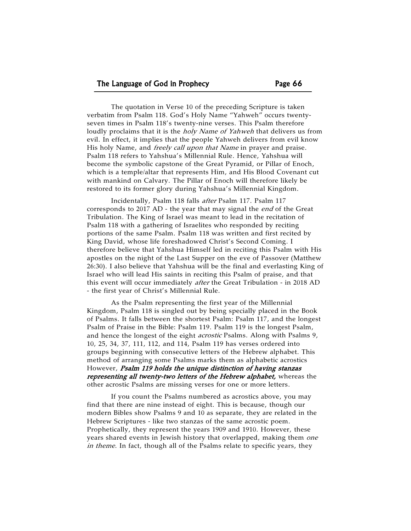The quotation in Verse 10 of the preceding Scripture is taken verbatim from Psalm 118. God's Holy Name "Yahweh" occurs twentyseven times in Psalm 118's twenty-nine verses. This Psalm therefore loudly proclaims that it is the *holy Name of Yahweh* that delivers us from evil. In effect, it implies that the people Yahweh delivers from evil know His holy Name, and *freely call upon that Name* in prayer and praise. Psalm 118 refers to Yahshua's Millennial Rule. Hence, Yahshua will become the symbolic capstone of the Great Pyramid, or Pillar of Enoch, which is a temple/altar that represents Him, and His Blood Covenant cut with mankind on Calvary. The Pillar of Enoch will therefore likely be restored to its former glory during Yahshua's Millennial Kingdom.

Incidentally, Psalm 118 falls after Psalm 117. Psalm 117 corresponds to 2017 AD - the year that may signal the *end* of the Great Tribulation. The King of Israel was meant to lead in the recitation of Psalm 118 with a gathering of Israelites who responded by reciting portions of the same Psalm. Psalm 118 was written and first recited by King David, whose life foreshadowed Christ's Second Coming. I therefore believe that Yahshua Himself led in reciting this Psalm with His apostles on the night of the Last Supper on the eve of Passover (Matthew 26:30). I also believe that Yahshua will be the final and everlasting King of Israel who will lead His saints in reciting this Psalm of praise, and that this event will occur immediately after the Great Tribulation - in 2018 AD - the first year of Christ's Millennial Rule.

As the Psalm representing the first year of the Millennial Kingdom, Psalm 118 is singled out by being specially placed in the Book of Psalms. It falls between the shortest Psalm: Psalm 117, and the longest Psalm of Praise in the Bible: Psalm 119. Psalm 119 is the longest Psalm, and hence the longest of the eight *acrostic* Psalms. Along with Psalms 9, 10, 25, 34, 37, 111, 112, and 114, Psalm 119 has verses ordered into groups beginning with consecutive letters of the Hebrew alphabet. This method of arranging some Psalms marks them as alphabetic acrostics However, Psalm 119 holds the unique distinction of having stanzas representing all twenty-two letters of the Hebrew alphabet, whereas the other acrostic Psalms are missing verses for one or more letters.

If you count the Psalms numbered as acrostics above, you may find that there are nine instead of eight. This is because, though our modern Bibles show Psalms 9 and 10 as separate, they are related in the Hebrew Scriptures - like two stanzas of the same acrostic poem. Prophetically, they represent the years 1909 and 1910. However, these years shared events in Jewish history that overlapped, making them one in theme. In fact, though all of the Psalms relate to specific years, they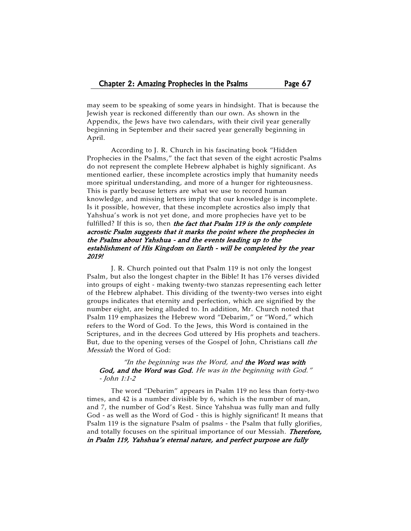may seem to be speaking of some years in hindsight. That is because the Jewish year is reckoned differently than our own. As shown in the Appendix, the Jews have two calendars, with their civil year generally beginning in September and their sacred year generally beginning in April.

According to J. R. Church in his fascinating book "Hidden Prophecies in the Psalms," the fact that seven of the eight acrostic Psalms do not represent the complete Hebrew alphabet is highly significant. As mentioned earlier, these incomplete acrostics imply that humanity needs more spiritual understanding, and more of a hunger for righteousness. This is partly because letters are what we use to record human knowledge, and missing letters imply that our knowledge is incomplete. Is it possible, however, that these incomplete acrostics also imply that Yahshua's work is not yet done, and more prophecies have yet to be fulfilled? If this is so, then the fact that Psalm 119 is the only complete acrostic Psalm suggests that it marks the point where the prophecies in the Psalms about Yahshua - and the events leading up to the establishment of His Kingdom on Earth - will be completed by the year 2019!

J. R. Church pointed out that Psalm 119 is not only the longest Psalm, but also the longest chapter in the Bible! It has 176 verses divided into groups of eight - making twenty-two stanzas representing each letter of the Hebrew alphabet. This dividing of the twenty-two verses into eight groups indicates that eternity and perfection, which are signified by the number eight, are being alluded to. In addition, Mr. Church noted that Psalm 119 emphasizes the Hebrew word "Debarim," or "Word," which refers to the Word of God. To the Jews, this Word is contained in the Scriptures, and in the decrees God uttered by His prophets and teachers. But, due to the opening verses of the Gospel of John, Christians call the Messiah the Word of God:

## "In the beginning was the Word, and the Word was with God, and the Word was God. He was in the beginning with God." - John 1:1-2

The word "Debarim" appears in Psalm 119 no less than forty-two times, and 42 is a number divisible by 6, which is the number of man, and 7, the number of God's Rest. Since Yahshua was fully man and fully God - as well as the Word of God - this is highly significant! It means that Psalm 119 is the signature Psalm of psalms - the Psalm that fully glorifies, and totally focuses on the spiritual importance of our Messiah. Therefore, in Psalm 119, Yahshua's eternal nature, and perfect purpose are fully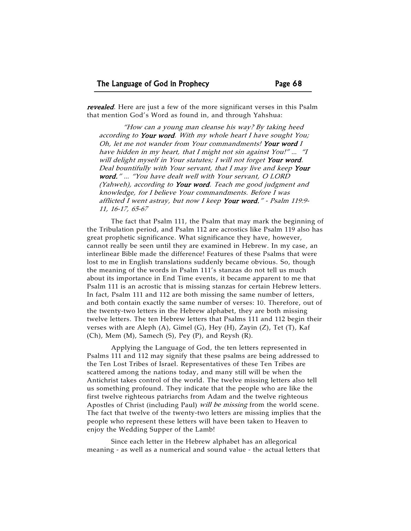revealed. Here are just a few of the more significant verses in this Psalm that mention God's Word as found in, and through Yahshua:

"How can a young man cleanse his way? By taking heed according to Your word. With my whole heart I have sought You; Oh, let me not wander from Your commandments! Your word I have hidden in my heart, that I might not sin against You!" … "I will delight myself in Your statutes; I will not forget Your word. Deal bountifully with Your servant, that I may live and keep Your word." … "You have dealt well with Your servant, O LORD (Yahweh), according to Your word. Teach me good judgment and knowledge, for I believe Your commandments. Before I was afflicted I went astray, but now I keep Your word." - Psalm 119:9-11, 16-17, 65-67

The fact that Psalm 111, the Psalm that may mark the beginning of the Tribulation period, and Psalm 112 are acrostics like Psalm 119 also has great prophetic significance. What significance they have, however, cannot really be seen until they are examined in Hebrew. In my case, an interlinear Bible made the difference! Features of these Psalms that were lost to me in English translations suddenly became obvious. So, though the meaning of the words in Psalm 111's stanzas do not tell us much about its importance in End Time events, it became apparent to me that Psalm 111 is an acrostic that is missing stanzas for certain Hebrew letters. In fact, Psalm 111 and 112 are both missing the same number of letters, and both contain exactly the same number of verses: 10. Therefore, out of the twenty-two letters in the Hebrew alphabet, they are both missing twelve letters. The ten Hebrew letters that Psalms 111 and 112 begin their verses with are Aleph (A), Gimel (G), Hey (H), Zayin (Z), Tet (T), Kaf (Ch), Mem (M), Samech (S), Pey (P), and Reysh (R).

Applying the Language of God, the ten letters represented in Psalms 111 and 112 may signify that these psalms are being addressed to the Ten Lost Tribes of Israel. Representatives of these Ten Tribes are scattered among the nations today, and many still will be when the Antichrist takes control of the world. The twelve missing letters also tell us something profound. They indicate that the people who are like the first twelve righteous patriarchs from Adam and the twelve righteous Apostles of Christ (including Paul) *will be missing* from the world scene. The fact that twelve of the twenty-two letters are missing implies that the people who represent these letters will have been taken to Heaven to enjoy the Wedding Supper of the Lamb!

Since each letter in the Hebrew alphabet has an allegorical meaning - as well as a numerical and sound value - the actual letters that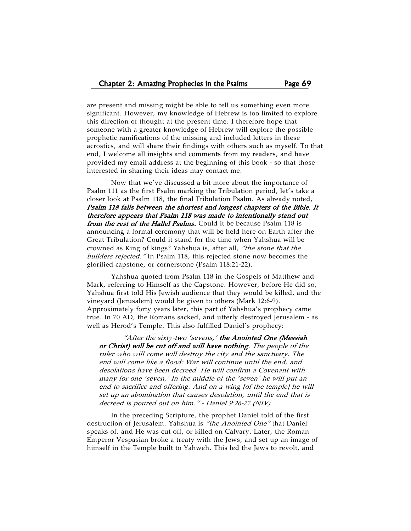are present and missing might be able to tell us something even more significant. However, my knowledge of Hebrew is too limited to explore this direction of thought at the present time. I therefore hope that someone with a greater knowledge of Hebrew will explore the possible prophetic ramifications of the missing and included letters in these acrostics, and will share their findings with others such as myself. To that end, I welcome all insights and comments from my readers, and have provided my email address at the beginning of this book - so that those interested in sharing their ideas may contact me.

Now that we've discussed a bit more about the importance of Psalm 111 as the first Psalm marking the Tribulation period, let's take a closer look at Psalm 118, the final Tribulation Psalm. As already noted, Psalm 118 falls between the shortest and longest chapters of the Bible. It therefore appears that Psalm 118 was made to intentionally stand out from the rest of the Hallel Psalms. Could it be because Psalm 118 is announcing a formal ceremony that will be held here on Earth after the Great Tribulation? Could it stand for the time when Yahshua will be crowned as King of kings? Yahshua is, after all, "the stone that the builders rejected." In Psalm 118, this rejected stone now becomes the glorified capstone, or cornerstone (Psalm 118:21-22).

Yahshua quoted from Psalm 118 in the Gospels of Matthew and Mark, referring to Himself as the Capstone. However, before He did so, Yahshua first told His Jewish audience that they would be killed, and the vineyard (Jerusalem) would be given to others (Mark 12:6-9). Approximately forty years later, this part of Yahshua's prophecy came true. In 70 AD, the Romans sacked, and utterly destroyed Jerusalem - as well as Herod's Temple. This also fulfilled Daniel's prophecy:

"After the sixty-two 'sevens,' the Anointed One (Messiah or Christ) will be cut off and will have nothing. The people of the ruler who will come will destroy the city and the sanctuary. The end will come like a flood: War will continue until the end, and desolations have been decreed. He will confirm a Covenant with many for one 'seven.' In the middle of the 'seven' he will put an end to sacrifice and offering. And on a wing [of the temple] he will set up an abomination that causes desolation, until the end that is decreed is poured out on him." - Daniel 9:26-27 (NIV)

In the preceding Scripture, the prophet Daniel told of the first destruction of Jerusalem. Yahshua is "the Anointed One" that Daniel speaks of, and He was cut off, or killed on Calvary. Later, the Roman Emperor Vespasian broke a treaty with the Jews, and set up an image of himself in the Temple built to Yahweh. This led the Jews to revolt, and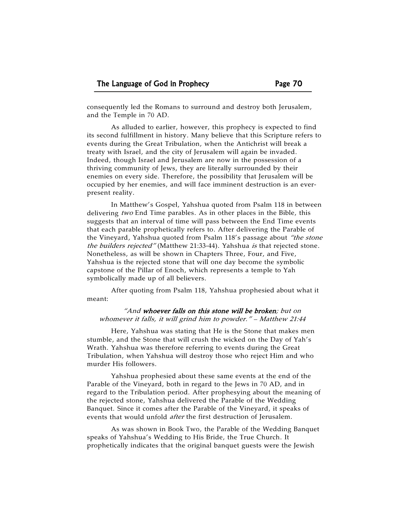consequently led the Romans to surround and destroy both Jerusalem, and the Temple in 70 AD.

As alluded to earlier, however, this prophecy is expected to find its second fulfillment in history. Many believe that this Scripture refers to events during the Great Tribulation, when the Antichrist will break a treaty with Israel, and the city of Jerusalem will again be invaded. Indeed, though Israel and Jerusalem are now in the possession of a thriving community of Jews, they are literally surrounded by their enemies on every side. Therefore, the possibility that Jerusalem will be occupied by her enemies, and will face imminent destruction is an everpresent reality.

In Matthew's Gospel, Yahshua quoted from Psalm 118 in between delivering two End Time parables. As in other places in the Bible, this suggests that an interval of time will pass between the End Time events that each parable prophetically refers to. After delivering the Parable of the Vineyard, Yahshua quoted from Psalm 118's passage about "the stone the builders rejected" (Matthew 21:33-44). Yahshua is that rejected stone. Nonetheless, as will be shown in Chapters Three, Four, and Five, Yahshua is the rejected stone that will one day become the symbolic capstone of the Pillar of Enoch, which represents a temple to Yah symbolically made up of all believers.

After quoting from Psalm 118, Yahshua prophesied about what it meant:

"And whoever falls on this stone will be broken; but on whomever it falls, it will grind him to powder." – Matthew 21:44

Here, Yahshua was stating that He is the Stone that makes men stumble, and the Stone that will crush the wicked on the Day of Yah's Wrath. Yahshua was therefore referring to events during the Great Tribulation, when Yahshua will destroy those who reject Him and who murder His followers.

Yahshua prophesied about these same events at the end of the Parable of the Vineyard, both in regard to the Jews in 70 AD, and in regard to the Tribulation period. After prophesying about the meaning of the rejected stone, Yahshua delivered the Parable of the Wedding Banquet. Since it comes after the Parable of the Vineyard, it speaks of events that would unfold after the first destruction of Jerusalem.

As was shown in Book Two, the Parable of the Wedding Banquet speaks of Yahshua's Wedding to His Bride, the True Church. It prophetically indicates that the original banquet guests were the Jewish